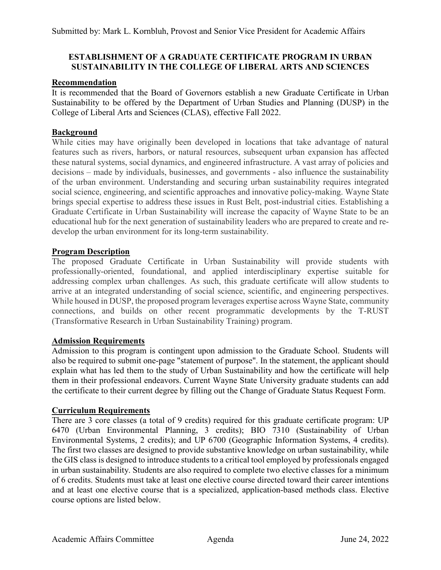# **ESTABLISHMENT OF A GRADUATE CERTIFICATE PROGRAM IN URBAN SUSTAINABILITY IN THE COLLEGE OF LIBERAL ARTS AND SCIENCES**

### **Recommendation**

It is recommended that the Board of Governors establish a new Graduate Certificate in Urban Sustainability to be offered by the Department of Urban Studies and Planning (DUSP) in the College of Liberal Arts and Sciences (CLAS), effective Fall 2022.

# **Background**

While cities may have originally been developed in locations that take advantage of natural features such as rivers, harbors, or natural resources, subsequent urban expansion has affected these natural systems, social dynamics, and engineered infrastructure. A vast array of policies and decisions – made by individuals, businesses, and governments - also influence the sustainability of the urban environment. Understanding and securing urban sustainability requires integrated social science, engineering, and scientific approaches and innovative policy-making. Wayne State brings special expertise to address these issues in Rust Belt, post-industrial cities. Establishing a Graduate Certificate in Urban Sustainability will increase the capacity of Wayne State to be an educational hub for the next generation of sustainability leaders who are prepared to create and redevelop the urban environment for its long-term sustainability.

## **Program Description**

The proposed Graduate Certificate in Urban Sustainability will provide students with professionally-oriented, foundational, and applied interdisciplinary expertise suitable for addressing complex urban challenges. As such, this graduate certificate will allow students to arrive at an integrated understanding of social science, scientific, and engineering perspectives. While housed in DUSP, the proposed program leverages expertise across Wayne State, community connections, and builds on other recent programmatic developments by the T-RUST (Transformative Research in Urban Sustainability Training) program.

## **Admission Requirements**

Admission to this program is contingent upon admission to the [Graduate School.](https://gradschool.wayne.edu/admissions) Students will also be required to submit one-page "statement of purpose". In the statement, the applicant should explain what has led them to the study of Urban Sustainability and how the certificate will help them in their professional endeavors. Current Wayne State University graduate students can add the certificate to their current degree by filling out the [Change of Graduate Status Request Form.](https://wayne.edu/admissions/pdf/changeofstatus.pdf)

## **Curriculum Requirements**

There are 3 core classes (a total of 9 credits) required for this graduate certificate program: UP 6470 (Urban Environmental Planning, 3 credits); BIO 7310 (Sustainability of Urban Environmental Systems, 2 credits); and UP 6700 (Geographic Information Systems, 4 credits). The first two classes are designed to provide substantive knowledge on urban sustainability, while the GIS class is designed to introduce students to a critical tool employed by professionals engaged in urban sustainability. Students are also required to complete two elective classes for a minimum of 6 credits. Students must take at least one elective course directed toward their career intentions and at least one elective course that is a specialized, application-based methods class. Elective course options are listed below.